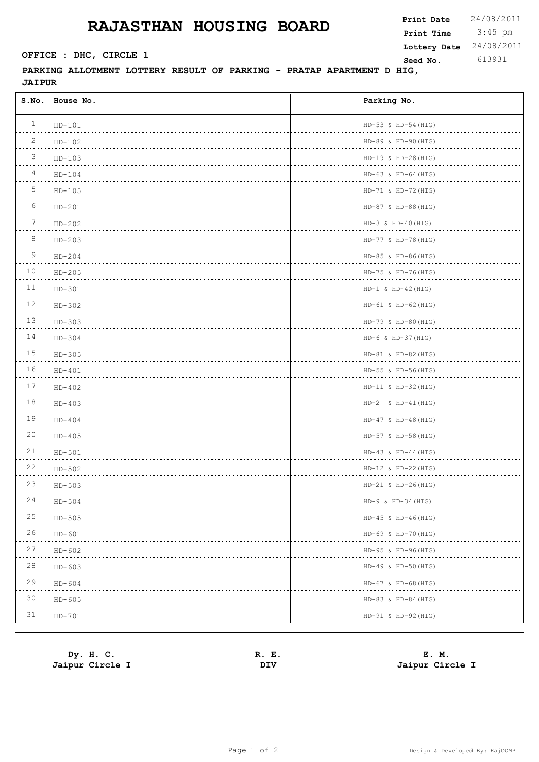## **RAJASTHAN HOUSING BOARD**

 $\mathbf{r}$ 

**PARKING ALLOTMENT LOTTERY RESULT OF PARKING - PRATAP APARTMENT D HIG, JAIPUR**

| S.NO.           | House No. | Parking No.                                    |
|-----------------|-----------|------------------------------------------------|
| $\mathbf{1}$    | $HD-101$  | HD-53 & HD-54 (HIG)                            |
| $\overline{2}$  | $HD-102$  | HD-89 & HD-90 (HIG)<br><u>.</u>                |
| $\mathcal{S}$   | HD-103    | $HD-19$ & $HD-28(HIG)$                         |
| $\overline{4}$  | $HD-104$  | $HD-63 & HD-64 (HIG)$<br>a dia dia dia dia dia |
| 5               | HD-105    | $HD-71 & HD-72 (HIG)$                          |
| 6               | $HD-201$  | $HD-87 & HD-88 (HIG)$                          |
| $7\phantom{.0}$ | $HD-202$  | $HD-3 & H+40 (HIG)$                            |
| 8               | $HD-203$  | HD-77 & HD-78 (HIG)                            |
| 9               | $HD-204$  | $HD-85 & HD-86 (HIG)$                          |
| 10              | $HD-205$  | $HD-75 & H D-76 (HIG)$<br>.                    |
| 11              | $HD-301$  | $HD-1 & HD-42 (HIG)$<br>.                      |
| 12              | HD-302    | $HD-61 & HD-62 (HIG)$<br>.                     |
| 13              | $HD-303$  | $HD-79$ & $HD-80$ (HIG)                        |
| 14              | $HD-304$  | $HD-6 & HD-37 (HIG)$                           |
| 15              | $HD-305$  | $HD-81 & HD-82 (HIG)$                          |
| 16              | $HD-401$  | HD-55 & HD-56(HIG)                             |
| 17              | $HD-402$  | $HD-11 & HD-32 (HIG)$                          |
| 18              | $HD-403$  | $HD-2 & & HD-41 (HIG)$                         |
| 19              | $HD-404$  | $HD-47 & HD-48 (HIG)$                          |
| 20              | $HD-405$  | $HD-57 & HD-58 (HIG)$                          |
| 21              | HD-501    | $HD-43 & HD-44 (HIG)$                          |
| 22              | HD-502    | $HD-12 & HD-22(HIG)$                           |
| 23              | HD-503    | $HD-21 & HD-26 (HIG)$                          |
| 24              | $HD-504$  | $HD-9 & HD-34 (HIG)$                           |
| 25              | $HD-505$  | $HD-45 & H D-46 (HIG)$                         |
| 26              | $HD-601$  | HD-69 & HD-70 (HIG)                            |
| 27              | HD-602    | HD-95 & HD-96(HIG)                             |
| $28$            | $HD-603$  | HD-49 & HD-50(HIG)                             |
| 29              | HD-604    | $HD-67 & HD-68 (HIG)$                          |
| 30              | $HD-605$  | HD-83 & HD-84 (HIG)                            |
| 31              | HD-701    | HD-91 & HD-92 (HIG)                            |
|                 |           |                                                |

 $\overline{\phantom{a}}$ 

| Dy. H. C.       | R. E. | E. M.           |
|-----------------|-------|-----------------|
| Jaipur Circle I | DIV   | Jaipur Circle I |